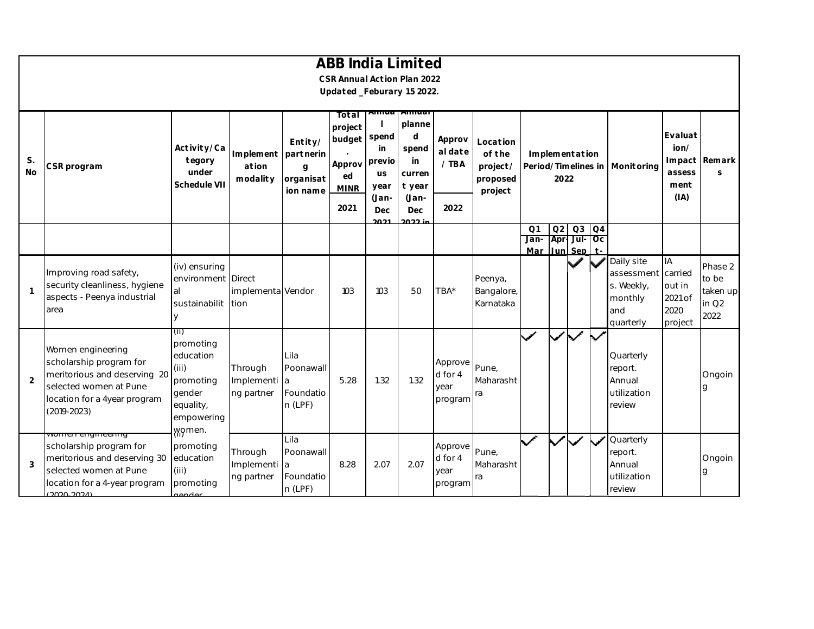|                 |                                                                                                                                                                    |                                                                                                     |                                       |                                                    | <b>ABB India Limited</b><br>CSR Annual Action Plan 2022   |                                            |                                                                               |                                       |                                                       |                               |              |                             |                |                                                                       |                                                       |                                                 |
|-----------------|--------------------------------------------------------------------------------------------------------------------------------------------------------------------|-----------------------------------------------------------------------------------------------------|---------------------------------------|----------------------------------------------------|-----------------------------------------------------------|--------------------------------------------|-------------------------------------------------------------------------------|---------------------------------------|-------------------------------------------------------|-------------------------------|--------------|-----------------------------|----------------|-----------------------------------------------------------------------|-------------------------------------------------------|-------------------------------------------------|
|                 |                                                                                                                                                                    |                                                                                                     |                                       |                                                    | Updated_Feburary 15 2022.                                 |                                            |                                                                               |                                       |                                                       |                               |              |                             |                |                                                                       |                                                       |                                                 |
| S.<br><b>No</b> | CSR program                                                                                                                                                        | Activity/Ca<br>tegory<br>under<br>Schedule VII                                                      | Implement<br>ation<br>modality        | Entity/<br>partnerin<br>g<br>organisat<br>ion name | Total<br>project<br>budget<br>Approv<br>ed<br><b>MINR</b> | spend<br>in<br>previo<br><b>us</b><br>year | Aliliua   Aliliuai<br>planne<br>d<br>spend<br>in<br>curren<br>t year<br>(Jan- | Approv<br>al date<br>/ TBA            | Location<br>of the<br>project/<br>proposed<br>project | Period/Timelines in           | 2022         | Implementation              |                | Monitoring                                                            | Evaluat<br>ion/<br>Impact<br>assess<br>ment<br>(IA)   | Remark<br>S                                     |
|                 |                                                                                                                                                                    |                                                                                                     |                                       |                                                    | 2021                                                      | (Jan-<br>Dec<br>2021                       | Dec<br>$2022$ in                                                              | 2022                                  |                                                       |                               |              |                             |                |                                                                       |                                                       |                                                 |
|                 |                                                                                                                                                                    |                                                                                                     |                                       |                                                    |                                                           |                                            |                                                                               |                                       |                                                       | Q <sub>1</sub><br>Jan-<br>Mar | Q2           | Q3<br>Apr Jul Oc<br>Jun Sep | Q <sub>4</sub> |                                                                       |                                                       |                                                 |
| $\overline{1}$  | Improving road safety,<br>security cleanliness, hygiene<br>aspects - Peenya industrial<br>area                                                                     | (iv) ensuring<br>environment Direct<br>al<br>sustainabilit tion                                     | implementa Vendor                     |                                                    | 103                                                       | 103                                        | 50                                                                            | TBA*                                  | Peenya,<br>Bangalore,<br>Karnataka                    |                               |              |                             |                | Daily site<br>assessment<br>s. Weekly,<br>monthly<br>and<br>quarterly | IA<br>carried<br>out in<br>2021 of<br>2020<br>project | Phase 2<br>to be<br>taken up<br>in $Q2$<br>2022 |
| 2               | Women engineering<br>scholarship program for<br>meritorious and deserving 20<br>selected women at Pune<br>location for a 4year program<br>$(2019 - 2023)$          | (ii)<br>promoting<br>education<br>(iii)<br>promoting<br>gender<br>equality,<br>empowering<br>women. | Through<br>Implementi a<br>ng partner | Lila<br>Poonawall<br>Foundatio<br>n (LPF)          | 5.28                                                      | 1.32                                       | 1.32                                                                          | Approve<br>d for 4<br>year<br>program | Pune,<br>Maharasht<br>ra                              | $\checkmark$                  | $\checkmark$ | $\overline{\checkmark}$     | ✓              | Quarterly<br>report.<br>Annual<br>utilization<br>review               |                                                       | Ongoin<br>a                                     |
| 3               | <del>wonnen engineering</del><br>scholarship program for<br>meritorious and deserving 30<br>selected women at Pune<br>location for a 4-year program<br>(2020-2024) | promoting<br>education<br>(iii)<br>promoting<br>rondor                                              | Through<br>Implementi a<br>ng partner | Lila<br>Poonawall<br>Foundatio<br>n (LPF)          | 8.28                                                      | 2.07                                       | 2.07                                                                          | Approve<br>d for 4<br>year<br>program | Pune,<br>Maharasht<br>ra                              | $\checkmark$                  |              |                             | $\checkmark$   | Quarterly<br>report.<br>Annual<br>utilization<br>review               |                                                       | Ongoin<br>q                                     |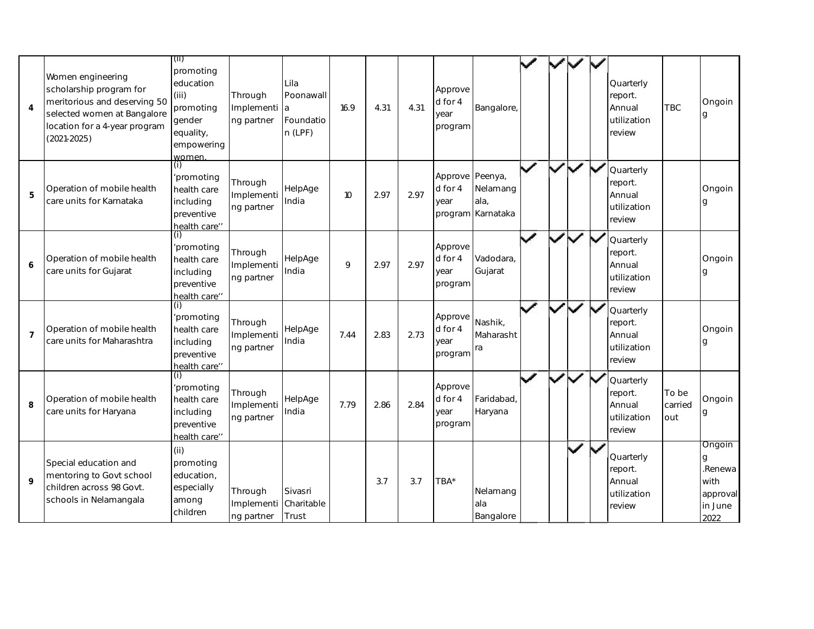| $\overline{4}$ | Women engineering<br>scholarship program for<br>meritorious and deserving 50<br>selected women at Bangalore<br>location for a 4-year program<br>$(2021 - 2025)$ | (ii)<br>promoting<br>education<br>(iii)<br>promoting<br>gender<br>equality,<br>empowering<br>women. | Through<br>Implementi<br>ng partner | Lila<br>Poonawall<br>a<br>Foundatio<br>$n$ (LPF) | 16.9 | 4.31 | 4.31 | Approve<br>d for 4<br>year<br>program | Bangalore,                                       |              |   | Quarterly<br>report.<br>Annual<br>utilization<br>review | <b>TBC</b>              | Ongoin<br>g                                                   |
|----------------|-----------------------------------------------------------------------------------------------------------------------------------------------------------------|-----------------------------------------------------------------------------------------------------|-------------------------------------|--------------------------------------------------|------|------|------|---------------------------------------|--------------------------------------------------|--------------|---|---------------------------------------------------------|-------------------------|---------------------------------------------------------------|
| 5              | Operation of mobile health<br>care units for Karnataka                                                                                                          | (i)<br>'promoting<br>health care<br>including<br>preventive<br>health care"                         | Through<br>Implementi<br>ng partner | HelpAge<br>India                                 | 10   | 2.97 | 2.97 | Approve<br>d for 4<br>year            | Peenya,<br>Nelamang<br>ala.<br>program Karnataka |              |   | Quarterly<br>report.<br>Annual<br>utilization<br>review |                         | Ongoin<br>g                                                   |
| 6              | Operation of mobile health<br>care units for Gujarat                                                                                                            | (i)<br>'promoting<br>health care<br>including<br>preventive<br>health care"                         | Through<br>Implementi<br>ng partner | HelpAge<br>India                                 | 9    | 2.97 | 2.97 | Approve<br>d for 4<br>year<br>program | Vadodara,<br>Gujarat                             |              |   | Quarterly<br>report.<br>Annual<br>utilization<br>review |                         | Ongoin<br>g                                                   |
| $\overline{7}$ | Operation of mobile health<br>care units for Maharashtra                                                                                                        | (i)<br>'promoting<br>health care<br>including<br>preventive<br>health care"                         | Through<br>Implementi<br>ng partner | HelpAge<br>India                                 | 7.44 | 2.83 | 2.73 | Approve<br>d for 4<br>year<br>program | Nashik,<br>Maharasht<br>ra                       |              |   | Quarterly<br>report.<br>Annual<br>utilization<br>review |                         | Ongoin<br>q                                                   |
| 8              | Operation of mobile health<br>care units for Haryana                                                                                                            | (i)<br>'promoting<br>health care<br>including<br>preventive<br>health care"                         | Through<br>Implementi<br>ng partner | HelpAge<br>India                                 | 7.79 | 2.86 | 2.84 | Approve<br>d for 4<br>year<br>program | Faridabad,<br>Haryana                            | $\checkmark$ |   | Quarterly<br>report.<br>Annual<br>utilization<br>review | To be<br>carried<br>out | Ongoin<br>g                                                   |
| $\mathsf{Q}$   | Special education and<br>mentoring to Govt school<br>children across 98 Govt.<br>schools in Nelamangala                                                         | (ii)<br>promoting<br>education,<br>especially<br>among<br>children                                  | Through<br>Implementi<br>ng partner | Sivasri<br>Charitable<br>Trust                   |      | 3.7  | 3.7  | TBA*                                  | Nelamang<br>ala<br>Bangalore                     |              | ✓ | Quarterly<br>report.<br>Annual<br>utilization<br>review |                         | Ongoin<br>g<br>.Renewa<br>with<br>approval<br>in June<br>2022 |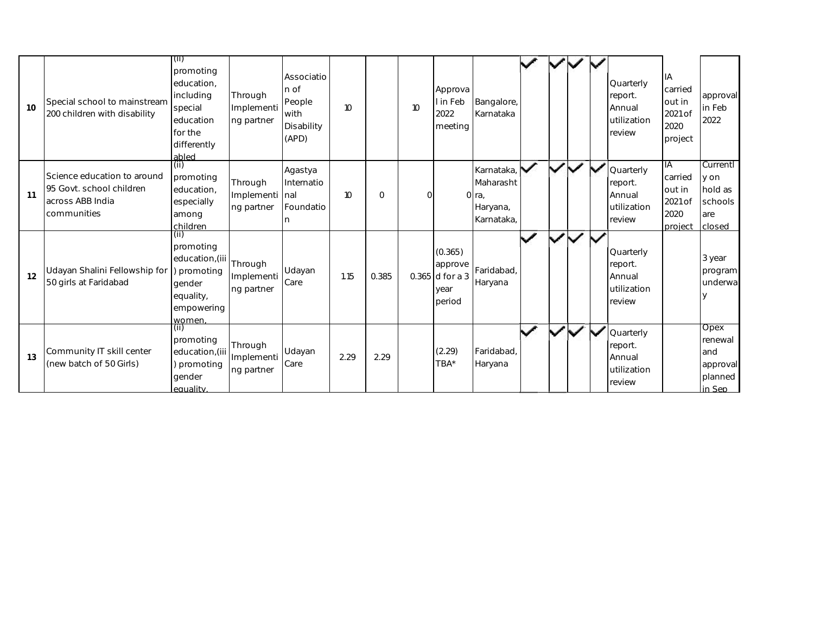| 10 | Special school to mainstream<br>200 children with disability                               | (i)<br>promoting<br>education.<br>including<br>special<br>education<br>for the<br>differently<br>abled | Through<br>Implementi<br>ng partner     | Associatio<br>n of<br>People<br>with<br>Disability<br>(APD) | 10 <sup>10</sup> |             | 10 <sup>°</sup> | Approva<br>I in Feb<br>2022<br>meeting                    | Bangalore,<br>Karnataka                                    |                          |                         |  | Quarterly<br>report.<br>Annual<br>utilization<br>review | IA<br>carried<br>out in<br>2021 of<br>2020<br>project | approval<br>in Feb<br>2022                              |
|----|--------------------------------------------------------------------------------------------|--------------------------------------------------------------------------------------------------------|-----------------------------------------|-------------------------------------------------------------|------------------|-------------|-----------------|-----------------------------------------------------------|------------------------------------------------------------|--------------------------|-------------------------|--|---------------------------------------------------------|-------------------------------------------------------|---------------------------------------------------------|
| 11 | Science education to around<br>95 Govt. school children<br>across ABB India<br>communities | (ii)<br>promoting<br>education,<br>especially<br>among<br>children                                     | Through<br>Implementi nal<br>ng partner | Agastya<br>Internatio<br>Foundatio                          | 10 <sup>°</sup>  | $\mathbf 0$ | $\Omega$        |                                                           | Karnataka,<br>Maharasht<br>O ra,<br>Haryana,<br>Karnataka, |                          | $\checkmark$            |  | Quarterly<br>report.<br>Annual<br>utilization<br>review | IA<br>carried<br>out in<br>2021 of<br>2020<br>project | Currentl<br>y on<br>hold as<br>schools<br>are<br>closed |
| 12 | Udayan Shalini Fellowship for<br>50 girls at Faridabad                                     | (ii)<br>promoting<br>education, (iii<br>promoting<br>gender<br>equality,<br>empowering<br>women.       | Through<br>Implementi<br>ng partner     | Udayan<br>Care                                              | 1.15             | 0.385       |                 | (0.365)<br>approve<br>$0.365$ d for a 3<br>year<br>period | Faridabad,<br>Haryana                                      |                          |                         |  | Quarterly<br>report.<br>Annual<br>utilization<br>review |                                                       | 3 year<br>program<br>underwa                            |
| 13 | Community IT skill center<br>(new batch of 50 Girls)                                       | (ii)<br>promoting<br>education, (iii<br>promoting<br>gender<br>equality.                               | Through<br>Implementi<br>ng partner     | Udayan<br>Care                                              | 2.29             | 2.29        |                 | (2.29)<br>TBA*                                            | Faridabad,<br>Haryana                                      | $\overline{\phantom{a}}$ | $\overline{\mathbf{v}}$ |  | Quarterly<br>report.<br>Annual<br>utilization<br>review |                                                       | Opex<br>renewal<br>and<br>approval<br>planned<br>in Sep |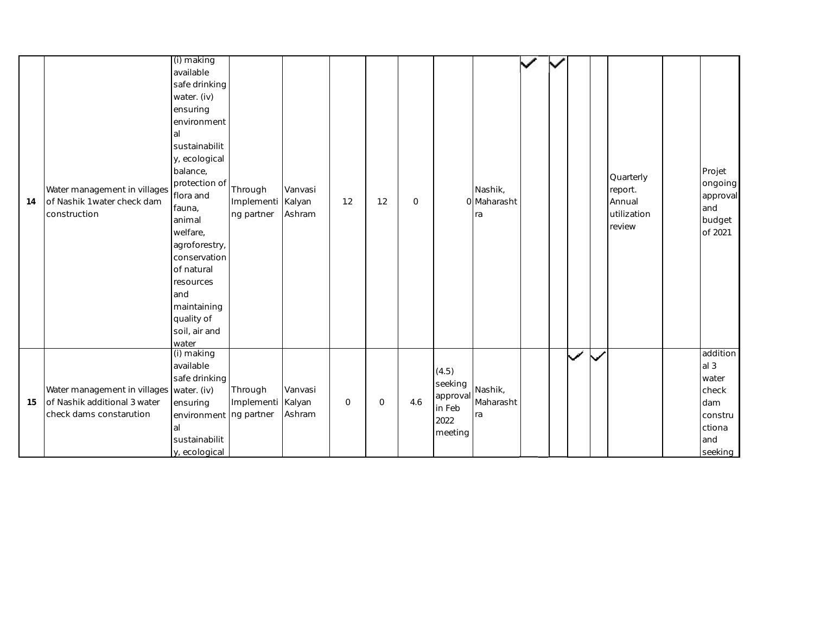| 14 | Water management in villages<br>of Nashik 1 water check dam<br>construction                         | (i) making<br>available<br>safe drinking<br>water. (iv)<br>ensuring<br>environment<br>al<br>sustainabilit<br>y, ecological<br>balance,<br>protection of<br>flora and<br>fauna,<br>animal<br>welfare,<br>agroforestry,<br>conservation<br>of natural<br>resources<br>and<br>maintaining<br>quality of<br>soil, air and<br>water | Through<br>Implementi Kalyan<br>ng partner | Vanvasi<br>Ashram | 1.2          | 1.2          | $\mathbf 0$ |                                                           | Nashik,<br>0 Maharasht<br>ra |  |              |              | Quarterly<br>report.<br>Annual<br>utilization<br>review | Projet<br>ongoing<br>approval<br>and<br>budget<br>of 2021                                   |
|----|-----------------------------------------------------------------------------------------------------|--------------------------------------------------------------------------------------------------------------------------------------------------------------------------------------------------------------------------------------------------------------------------------------------------------------------------------|--------------------------------------------|-------------------|--------------|--------------|-------------|-----------------------------------------------------------|------------------------------|--|--------------|--------------|---------------------------------------------------------|---------------------------------------------------------------------------------------------|
| 15 | Water management in villages water. (iv)<br>of Nashik additional 3 water<br>check dams constarution | (i) making<br>available<br>safe drinking<br>ensuring<br>environment ng partner<br>al<br>sustainabilit<br>y, ecological                                                                                                                                                                                                         | Through<br>Implementi Kalyan               | Vanvasi<br>Ashram | $\mathsf{O}$ | $\mathsf{O}$ | 4.6         | (4.5)<br>seeking<br>approval<br>in Feb<br>2022<br>meeting | Nashik,<br>Maharasht<br>ra   |  | $\checkmark$ | $\checkmark$ |                                                         | addition<br>al <sub>3</sub><br>water<br>check<br>dam<br>constru<br>ctiona<br>and<br>seeking |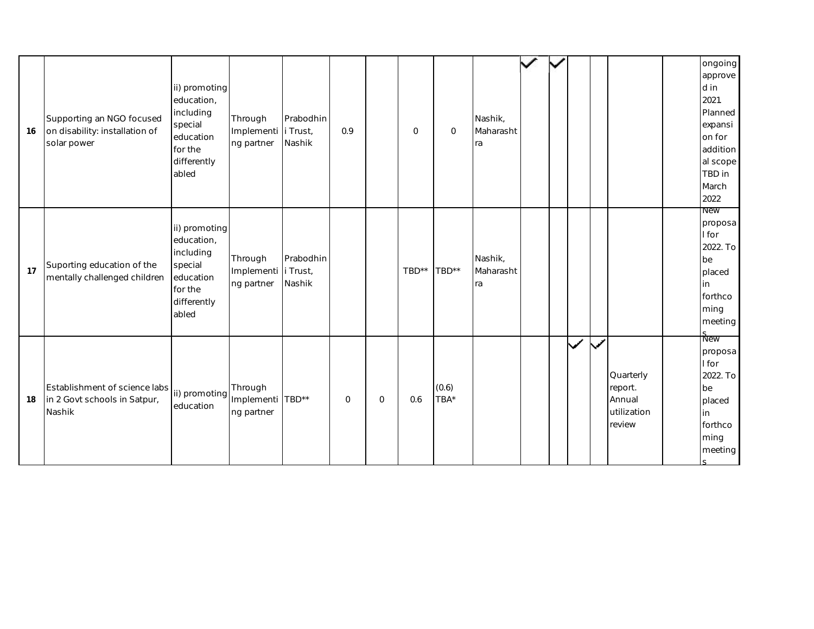| 16 | Supporting an NGO focused<br>on disability: installation of<br>solar power | ii) promoting<br>education,<br>including<br>special<br>education<br>for the<br>differently<br>abled | Through<br>Implementi i Trust,<br>ng partner | Prabodhin<br>Nashik | 0.9         |             | 0     | $\mathbf{O}$  | Nashik,<br>Maharasht<br>ra |  |              |              |                                                         | ongoing<br>approve<br>d in<br>2021.<br>Planned<br>expansi<br>on for<br>addition<br>al scope<br>TBD in<br>March<br>2022 |
|----|----------------------------------------------------------------------------|-----------------------------------------------------------------------------------------------------|----------------------------------------------|---------------------|-------------|-------------|-------|---------------|----------------------------|--|--------------|--------------|---------------------------------------------------------|------------------------------------------------------------------------------------------------------------------------|
| 17 | Suporting education of the<br>mentally challenged children                 | ii) promoting<br>education,<br>including<br>special<br>education<br>for the<br>differently<br>abled | Through<br>Implementi i Trust,<br>ng partner | Prabodhin<br>Nashik |             |             | TBD** | TBD**         | Nashik,<br>Maharasht<br>ra |  |              |              |                                                         | <b>New</b><br>proposa<br>I for<br>2022. To<br>be<br>placed<br>in<br>forthco<br>ming<br>meeting                         |
| 18 | Establishment of science labs<br>in 2 Govt schools in Satpur,<br>Nashik    | ii) promoting<br>education                                                                          | Through<br>Implementi<br>ng partner          | TBD**               | $\mathbf 0$ | $\mathbf 0$ | 0.6   | (0.6)<br>TBA* |                            |  | $\checkmark$ | $\checkmark$ | Quarterly<br>report.<br>Annual<br>utilization<br>review | <b>New</b><br>proposa<br>I for<br>2022. To<br>be<br>placed<br>in<br>forthco<br>ming<br>meeting                         |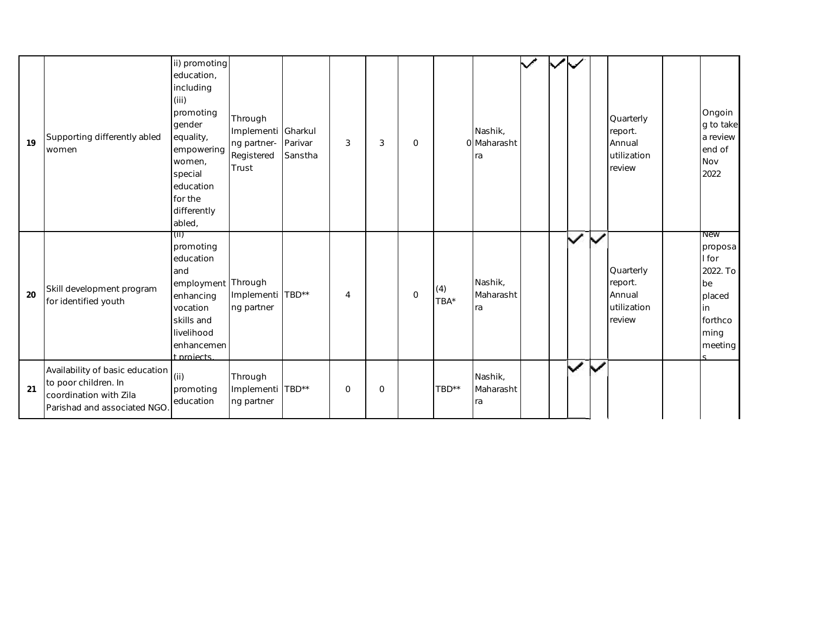| 19 | Supporting differently abled<br>women                                                                            | ii) promoting<br>education,<br>including<br>(iii)<br>promoting<br>gender<br>equality,<br>empowering<br>women,<br>special<br>education<br>for the<br>differently<br>abled, | Through<br>Implementi Gharkul<br>ng partner-<br>Registered<br>Trust | Parivar<br>Sanstha | 3              | 3        | $\Omega$     |             | Nashik.<br>O Maharasht<br>ra | $\checkmark$ | $\checkmark$ |                              |               | Quarterly<br>report.<br>Annual<br>utilization<br>review  | Ongoin<br>g to take<br>a review<br>end of<br>Nov<br>2022                                       |
|----|------------------------------------------------------------------------------------------------------------------|---------------------------------------------------------------------------------------------------------------------------------------------------------------------------|---------------------------------------------------------------------|--------------------|----------------|----------|--------------|-------------|------------------------------|--------------|--------------|------------------------------|---------------|----------------------------------------------------------|------------------------------------------------------------------------------------------------|
| 20 | Skill development program<br>for identified youth                                                                | (iii)<br>promoting<br>education<br>and<br>employment Through<br>enhancing<br>vocation<br>skills and<br>livelihood<br>enhancemen<br>t projects                             | Implementi TBD**<br>ng partner                                      |                    | $\overline{4}$ |          | $\mathbf{0}$ | (4)<br>TBA* | Nashik,<br>Maharasht<br>ra   |              |              | $\checkmark$                 | ╲             | Quarterly<br>report.<br>Annual<br>lutilization<br>review | <b>New</b><br>proposa<br>I for<br>2022. To<br>be<br>placed<br>in<br>forthco<br>ming<br>meeting |
| 21 | Availability of basic education<br>to poor children. In<br>coordination with Zila<br>Parishad and associated NGO | (i)<br>promoting<br>education                                                                                                                                             | Through<br>Implementi TBD**<br>ng partner                           |                    | $\Omega$       | $\Omega$ |              | TBD**       | Nashik,<br>Maharasht<br>ra   |              |              | $\tilde{\blacktriangledown}$ | $\mathcal{L}$ |                                                          |                                                                                                |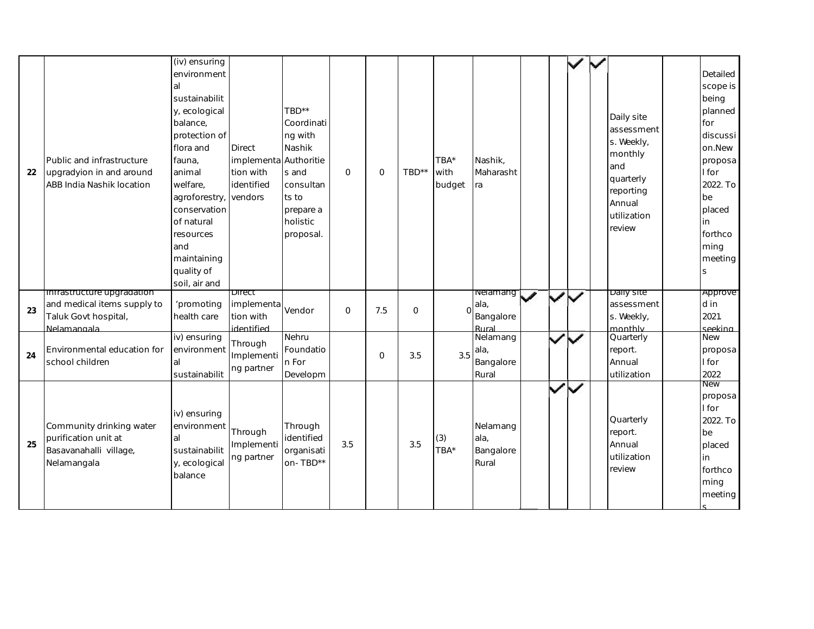| 22 | Public and infrastructure<br>upgradyion in and around<br>ABB India Nashik location               | $\overline{(iv)}$ ensuring<br>environment<br>al<br>sustainabilit<br>y, ecological<br>balance,<br>protection of<br>flora and<br>fauna,<br>animal<br>welfare,<br>agroforestry,<br>conservation<br>of natural<br>resources<br>and<br>maintaining<br>quality of<br>soil, air and | <b>Direct</b><br>implementa<br>tion with<br>identified<br>vendors | TBD**<br>Coordinati<br>ng with<br>Nashik<br>Authoritie<br>s and<br>consultan<br>ts to<br>prepare a<br>holistic<br>proposal. | $\mathbf{O}$ | $\mathbf{O}$ | TBD** | TBA*<br>with<br>budget | Nashik,<br>Maharasht<br>ra             |   |              | Daily site<br>assessment<br>s. Weekly,<br>monthly<br>and<br>quarterly<br>reporting<br>Annual<br>utilization<br>review | Detailed<br>scope is<br>being<br>planned<br>for<br>discussi<br>on.New<br>proposa<br>I for<br>2022. To<br>be<br>placed<br>in<br>forthco<br>ming<br>meeting<br>S |
|----|--------------------------------------------------------------------------------------------------|------------------------------------------------------------------------------------------------------------------------------------------------------------------------------------------------------------------------------------------------------------------------------|-------------------------------------------------------------------|-----------------------------------------------------------------------------------------------------------------------------|--------------|--------------|-------|------------------------|----------------------------------------|---|--------------|-----------------------------------------------------------------------------------------------------------------------|----------------------------------------------------------------------------------------------------------------------------------------------------------------|
| 23 | infrastructure upgradation<br>and medical items supply to<br>Taluk Govt hospital,<br>Nelamangala | 'promoting<br>health care                                                                                                                                                                                                                                                    | Direct<br>implementa<br>tion with<br>identified                   | Vendor                                                                                                                      | $\mathbf{O}$ | 7.5          | 0     | $\Omega$               | neiamang<br>ala,<br>Bangalore<br>Rural | ◢ | $\checkmark$ | Daily site<br>assessment<br>s. Weekly,<br>monthly                                                                     | Approve<br>d in<br>2021.<br>seekina l                                                                                                                          |
| 24 | Environmental education for<br>school children                                                   | iv) ensuring<br>environment<br>al<br>sustainabilit                                                                                                                                                                                                                           | Through<br>Implementi<br>ng partner                               | Nehru<br>Foundatio<br>n For<br>Developm                                                                                     |              | $\circ$      | 3.5   | 3.5                    | Nelamang<br>ala,<br>Bangalore<br>Rural |   |              | Quarterly<br>report.<br>Annual<br>utilization                                                                         | <b>New</b><br>proposa<br>I for<br>2022                                                                                                                         |
| 25 | Community drinking water<br>purification unit at<br>Basavanahalli village,<br>Nelamangala        | iv) ensuring<br>environment<br>al<br>sustainabilit<br>y, ecological<br>balance                                                                                                                                                                                               | Through<br>Implementi<br>ng partner                               | Through<br>identified<br>organisati<br>on-TBD**                                                                             | 3.5          |              | 3.5   | (3)<br>TBA*            | Nelamang<br>ala,<br>Bangalore<br>Rural |   | $\checkmark$ | Quarterly<br>report.<br>Annual<br>utilization<br>review                                                               | New<br>proposa<br>I for<br>2022. To<br>be<br>placed<br>in<br>forthco<br>ming<br>meeting                                                                        |